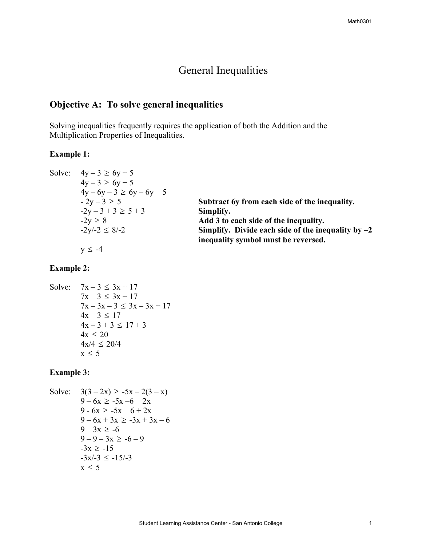# General Inequalities

## **Objective A: To solve general inequalities**

Solving inequalities frequently requires the application of both the Addition and the Multiplication Properties of Inequalities.

## **Example 1:**

|  | Solve: $4y - 3 \ge 6y + 5$    |                                                      |
|--|-------------------------------|------------------------------------------------------|
|  | $4y - 3 \ge 6y + 5$           |                                                      |
|  | $4y - 6y - 3 \ge 6y - 6y + 5$ |                                                      |
|  | $-2y-3 \ge 5$                 | Subtract 6y from each side of the inequality.        |
|  | $-2y-3+3 \ge 5+3$             | Simplify.                                            |
|  | $-2y \geq 8$                  | Add 3 to each side of the inequality.                |
|  | $-2y/-2 \le 8/-2$             | Simplify. Divide each side of the inequality by $-2$ |
|  |                               | inequality symbol must be reversed.                  |
|  | $v \le -4$                    |                                                      |

## **Example 2:**

```
Solve: 7x - 3 \leq 3x + 177x - 3 \leq 3x + 177x - 3x - 3 \leq 3x - 3x + 174x - 3 \le 174x - 3 + 3 \le 17 + 34x \leq 204x/4 \leq 20/4x \leq 5
```
## **Example 3:**

Solve: 
$$
3(3-2x) \ge -5x - 2(3 - x)
$$
  
\n $9-6x \ge -5x - 6 + 2x$   
\n $9-6x \ge -5x - 6 + 2x$   
\n $9-6x + 3x \ge -3x + 3x - 6$   
\n $9-3x \ge -6$   
\n $9-9-3x \ge -6 - 9$   
\n $-3x \ge -15$   
\n $-3x/3 \le -15/3$   
\n $x \le 5$